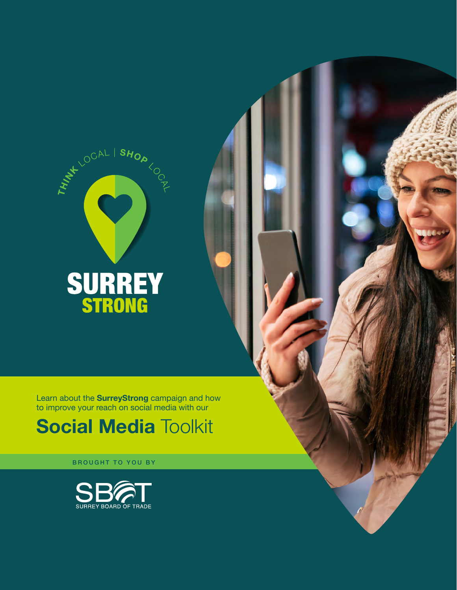

Learn about the **SurreyStrong** campaign and how to improve your reach on social media with our

# **Social Media Toolkit**

BROUGHT TO YOU BY

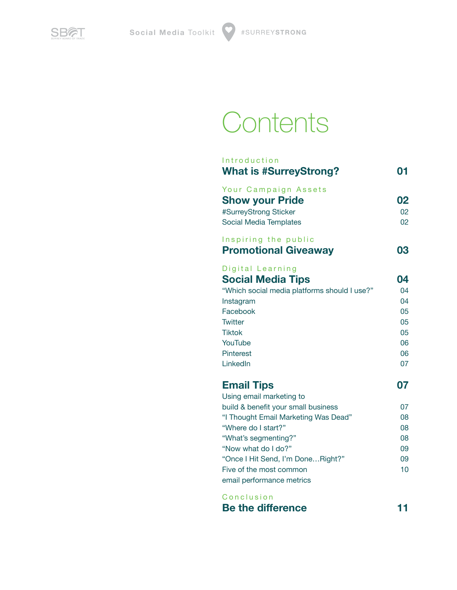

# **Contents**

| Introduction<br><b>What is #SurreyStrong?</b>                                                                                                                                                                                                                                                   | 01                                                 |
|-------------------------------------------------------------------------------------------------------------------------------------------------------------------------------------------------------------------------------------------------------------------------------------------------|----------------------------------------------------|
| Your Campaign Assets<br><b>Show your Pride</b><br>#SurreyStrong Sticker<br><b>Social Media Templates</b>                                                                                                                                                                                        | 02<br>02<br>02                                     |
| Inspiring the public<br><b>Promotional Giveaway</b>                                                                                                                                                                                                                                             | 03                                                 |
| Digital Learning<br><b>Social Media Tips</b><br>"Which social media platforms should I use?"<br>Instagram<br>Facebook<br><b>Twitter</b><br><b>Tiktok</b><br>YouTube<br>Pinterest<br>LinkedIn                                                                                                    | 04<br>04<br>04<br>05<br>05<br>05<br>06<br>06<br>07 |
| <b>Email Tips</b><br>Using email marketing to<br>build & benefit your small business<br>"I Thought Email Marketing Was Dead"<br>"Where do I start?"<br>"What's segmenting?"<br>"Now what do I do?"<br>"Once I Hit Send, I'm DoneRight?"<br>Five of the most common<br>email performance metrics | 07<br>07<br>08<br>08<br>08<br>09<br>09<br>10       |
| Conclusion                                                                                                                                                                                                                                                                                      |                                                    |

| <b>Be the difference</b> |  |
|--------------------------|--|
|--------------------------|--|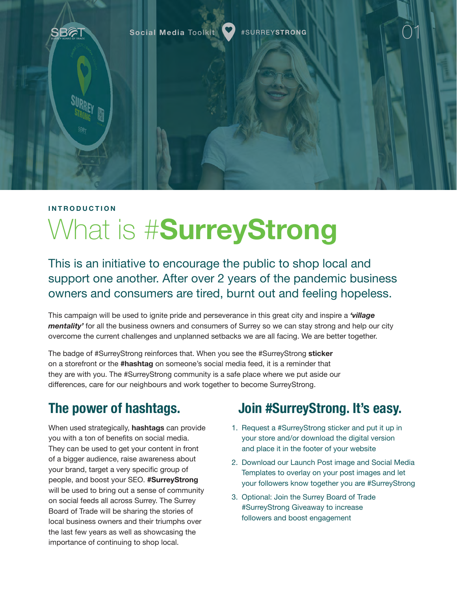<span id="page-2-0"></span>

# **INTRODUCTION** What is #**SurreyStrong**

This is an initiative to encourage the public to shop local and support one another. After over 2 years of the pandemic business owners and consumers are tired, burnt out and feeling hopeless.

This campaign will be used to ignite pride and perseverance in this great city and inspire a *'village mentality'* for all the business owners and consumers of Surrey so we can stay strong and help our city overcome the current challenges and unplanned setbacks we are all facing. We are better together.

The badge of #SurreyStrong reinforces that. When you see the #SurreyStrong **sticker** on a storefront or the **#hashtag** on someone's social media feed, it is a reminder that they are with you. The #SurreyStrong community is a safe place where we put aside our differences, care for our neighbours and work together to become SurreyStrong.

## **The power of hashtags.**

When used strategically, **hashtags** can provide you with a ton of benefits on social media. They can be used to get your content in front of a bigger audience, raise awareness about your brand, target a very specific group of people, and boost your SEO. **#SurreyStrong** will be used to bring out a sense of community on social feeds all across Surrey. The Surrey Board of Trade will be sharing the stories of local business owners and their triumphs over the last few years as well as showcasing the importance of continuing to shop local.

## **Join #SurreyStrong. It's easy.**

- 1. Request a #SurreyStrong sticker and put it up in your store and/or download the digital version and place it in the footer of your website
- 2. Download our Launch Post image and Social Media Templates to overlay on your post images and let your followers know together you are #SurreyStrong
- 3. Optional: Join the Surrey Board of Trade #SurreyStrong Giveaway to increase followers and boost engagement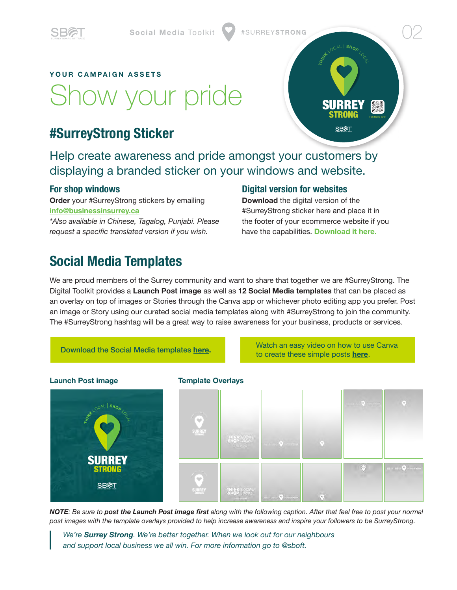<span id="page-3-0"></span>

# Show your pride

## **#SurreyStrong Sticker**

**YOUR CAMPAIGN ASSETS**

Help create awareness and pride amongst your customers by displaying a branded sticker on your windows and website.

#### **For shop windows**

**Order** your #SurreyStrong stickers by emailing **[info@businessinsurrey.ca](mailto:info%40businessinsurrey.ca?subject=SurreyStrong%20Sticker%20Request)**

*\*Also available in Chinese, Tagalog, Punjabi. Please request a specific translated version if you wish.*

#### **Digital version for websites**

**Download** the digital version of the #SurreyStrong sticker here and place it in the footer of your ecommerce website if you have the capabilities. **[Download it here.](https://businessinsurrey.com/events/surreystrong/)**

**TRANSISTIC BACK** 

**SURREY** STRONG

SBAT

FOR MORE INFO

### **Social Media Templates**

We are proud members of the Surrey community and want to share that together we are #SurreyStrong. The Digital Toolkit provides a **Launch Post image** as well as **12 Social Media templates** that can be placed as an overlay on top of images or Stories through the Canva app or whichever photo editing app you prefer. Post an image or Story using our curated social media templates along with #SurreyStrong to join the community. The #SurreyStrong hashtag will be a great way to raise awareness for your business, products or services.

Download the Social Media templates **[here](https://businessinsurrey.com/events/surreystrong/).** Watch an easy video on how to use Canva to create these simple posts **[here](https://businessinsurrey.com/events/surreystrong/)**.

# **Launch Post image Template Overlays** THINK LOCAL **SB**AT THINK LOCAL  $\odot$

*NOTE: Be sure to post the Launch Post image first along with the following caption. After that feel free to post your normal post images with the template overlays provided to help increase awareness and inspire your followers to be SurreyStrong.*

*We're Surrey Strong. We're better together. When we look out for our neighbours and support local business we all win. For more information go to @sboft.*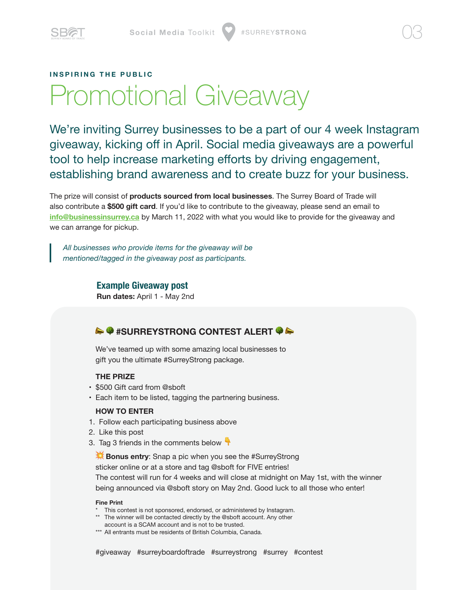<span id="page-4-0"></span>

#### **INSPIRING THE PUBLIC**

# Promotional Giveaway

We're inviting Surrey businesses to be a part of our 4 week Instagram giveaway, kicking off in April. Social media giveaways are a powerful tool to help increase marketing efforts by driving engagement, establishing brand awareness and to create buzz for your business.

The prize will consist of **products sourced from local businesses**. The Surrey Board of Trade will also contribute a **\$500 gift card**. If you'd like to contribute to the giveaway, please send an email to **[info@businessinsurrey.ca](mailto:info%40businessinsurrey.ca?subject=Promotional%20Giveaway)** by March 11, 2022 with what you would like to provide for the giveaway and we can arrange for pickup.

*All businesses who provide items for the giveaway will be mentioned/tagged in the giveaway post as participants.*

> **Example Giveaway post Run dates:** April 1 - May 2nd

#### $\rightarrow$  **#SURREYSTRONG CONTEST ALERT @ &**

We've teamed up with some amazing local businesses to gift you the ultimate #SurreyStrong package.

#### **THE PRIZE**

- • \$500 Gift card from @sboft
- Each item to be listed, tagging the partnering business.

#### **HOW TO ENTER**

- 1. Follow each participating business above
- 2. Like this post
- 3. Tag 3 friends in the comments below  $\mathbf{\hat{T}}$

**Bonus entry:** Snap a pic when you see the #SurreyStrong

sticker online or at a store and tag @sboft for FIVE entries!

The contest will run for 4 weeks and will close at midnight on May 1st, with the winner being announced via @sboft story on May 2nd. Good luck to all those who enter!

#### **Fine Print**

- This contest is not sponsored, endorsed, or administered by Instagram.
- \*\* The winner will be contacted directly by the @sboft account. Any other account is a SCAM account and is not to be trusted.
- \*\*\* All entrants must be residents of British Columbia, Canada.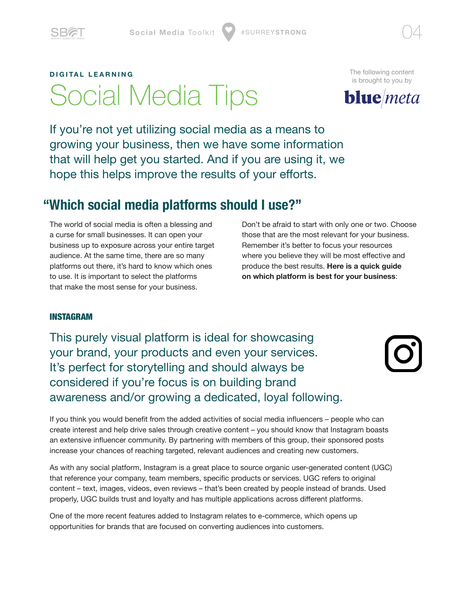<span id="page-5-0"></span>

# **DIGITAL LEARNING** Social Media Tips

[The following content](https://wearebluemeta.com)  is brought to you by



If you're not yet utilizing social media as a means to growing your business, then we have some information that will help get you started. And if you are using it, we hope this helps improve the results of your efforts.

## **"Which social media platforms should I use?"**

The world of social media is often a blessing and a curse for small businesses. It can open your business up to exposure across your entire target audience. At the same time, there are so many platforms out there, it's hard to know which ones to use. It is important to select the platforms that make the most sense for your business.

Don't be afraid to start with only one or two. Choose those that are the most relevant for your business. Remember it's better to focus your resources where you believe they will be most effective and produce the best results. **Here is a quick guide on which platform is best for your business**:

#### INSTAGRAM

This purely visual platform is ideal for showcasing your brand, your products and even your services. It's perfect for storytelling and should always be considered if you're focus is on building brand awareness and/or growing a dedicated, loyal following.



If you think you would benefit from the added activities of social media influencers – people who can create interest and help drive sales through creative content – you should know that Instagram boasts an extensive influencer community. By partnering with members of this group, their sponsored posts increase your chances of reaching targeted, relevant audiences and creating new customers.

As with any social platform, Instagram is a great place to source organic user-generated content (UGC) that reference your company, team members, specific products or services. UGC refers to original content – text, images, videos, even reviews – that's been created by people instead of brands. Used properly, UGC builds trust and loyalty and has multiple applications across different platforms.

One of the more recent features added to Instagram relates to e-commerce, which opens up opportunities for brands that are focused on converting audiences into customers.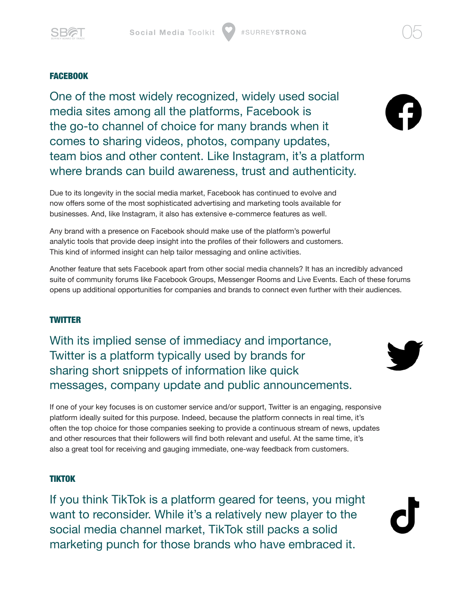<span id="page-6-0"></span>

FACEBOOK

One of the most widely recognized, widely used social media sites among all the platforms, Facebook is the go-to channel of choice for many brands when it comes to sharing videos, photos, company updates, team bios and other content. Like Instagram, it's a platform where brands can build awareness, trust and authenticity.



Due to its longevity in the social media market, Facebook has continued to evolve and now offers some of the most sophisticated advertising and marketing tools available for businesses. And, like Instagram, it also has extensive e-commerce features as well.

Any brand with a presence on Facebook should make use of the platform's powerful analytic tools that provide deep insight into the profiles of their followers and customers. This kind of informed insight can help tailor messaging and online activities.

Another feature that sets Facebook apart from other social media channels? It has an incredibly advanced suite of community forums like Facebook Groups, Messenger Rooms and Live Events. Each of these forums opens up additional opportunities for companies and brands to connect even further with their audiences.

#### **TWITTER**

With its implied sense of immediacy and importance, Twitter is a platform typically used by brands for sharing short snippets of information like quick messages, company update and public announcements.



If one of your key focuses is on customer service and/or support, Twitter is an engaging, responsive platform ideally suited for this purpose. Indeed, because the platform connects in real time, it's often the top choice for those companies seeking to provide a continuous stream of news, updates and other resources that their followers will find both relevant and useful. At the same time, it's also a great tool for receiving and gauging immediate, one-way feedback from customers.

#### TIKTOK

If you think TikTok is a platform geared for teens, you might want to reconsider. While it's a relatively new player to the social media channel market, TikTok still packs a solid marketing punch for those brands who have embraced it.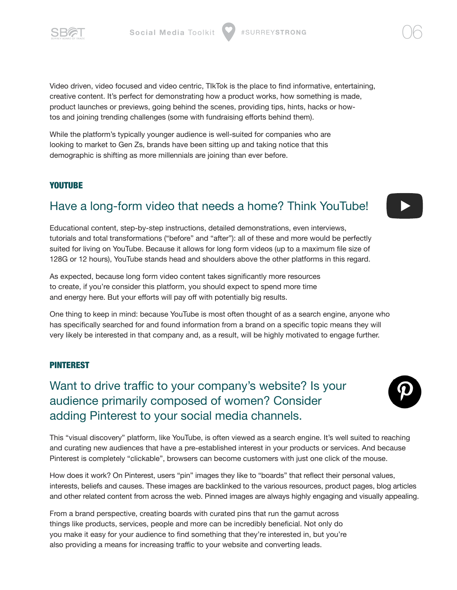<span id="page-7-0"></span>

Video driven, video focused and video centric, TIkTok is the place to find informative, entertaining, creative content. It's perfect for demonstrating how a product works, how something is made, product launches or previews, going behind the scenes, providing tips, hints, hacks or howtos and joining trending challenges (some with fundraising efforts behind them).

While the platform's typically younger audience is well-suited for companies who are looking to market to Gen Zs, brands have been sitting up and taking notice that this demographic is shifting as more millennials are joining than ever before.

#### **YOUTUBE**

### Have a long-form video that needs a home? Think YouTube!

Educational content, step-by-step instructions, detailed demonstrations, even interviews, tutorials and total transformations ("before" and "after"): all of these and more would be perfectly suited for living on YouTube. Because it allows for long form videos (up to a maximum file size of 128G or 12 hours), YouTube stands head and shoulders above the other platforms in this regard.

As expected, because long form video content takes significantly more resources to create, if you're consider this platform, you should expect to spend more time and energy here. But your efforts will pay off with potentially big results.

One thing to keep in mind: because YouTube is most often thought of as a search engine, anyone who has specifically searched for and found information from a brand on a specific topic means they will very likely be interested in that company and, as a result, will be highly motivated to engage further.

#### PINTEREST

Want to drive traffic to your company's website? Is your audience primarily composed of women? Consider adding Pinterest to your social media channels.

This "visual discovery" platform, like YouTube, is often viewed as a search engine. It's well suited to reaching and curating new audiences that have a pre-established interest in your products or services. And because Pinterest is completely "clickable", browsers can become customers with just one click of the mouse.

How does it work? On Pinterest, users "pin" images they like to "boards" that reflect their personal values, interests, beliefs and causes. These images are backlinked to the various resources, product pages, blog articles and other related content from across the web. Pinned images are always highly engaging and visually appealing.

From a brand perspective, creating boards with curated pins that run the gamut across things like products, services, people and more can be incredibly beneficial. Not only do you make it easy for your audience to find something that they're interested in, but you're also providing a means for increasing traffic to your website and converting leads.



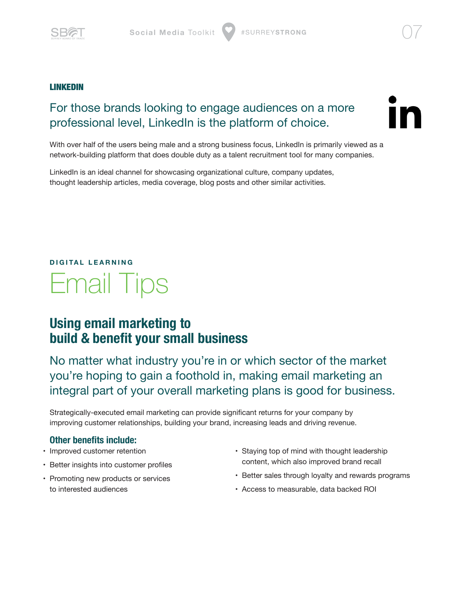<span id="page-8-0"></span>

#### LINKEDIN

### For those brands looking to engage audiences on a more professional level, LinkedIn is the platform of choice.



With over half of the users being male and a strong business focus, LinkedIn is primarily viewed as a network-building platform that does double duty as a talent recruitment tool for many companies.

LinkedIn is an ideal channel for showcasing organizational culture, company updates, thought leadership articles, media coverage, blog posts and other similar activities.

# **DIGITAL LEARNING** Email Tips

### **Using email marketing to build & benefit your small business**

No matter what industry you're in or which sector of the market you're hoping to gain a foothold in, making email marketing an integral part of your overall marketing plans is good for business.

Strategically-executed email marketing can provide significant returns for your company by improving customer relationships, building your brand, increasing leads and driving revenue.

#### **Other benefits include:**

- Improved customer retention
- Better insights into customer profiles
- Promoting new products or services to interested audiences
- Staying top of mind with thought leadership content, which also improved brand recall
- Better sales through loyalty and rewards programs
- Access to measurable, data backed ROI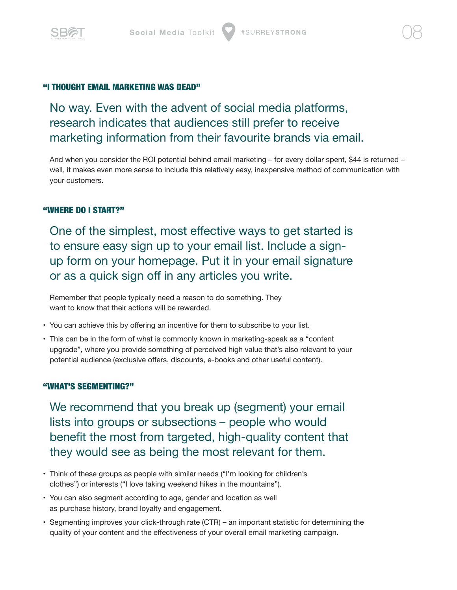<span id="page-9-0"></span>

#### "I THOUGHT EMAIL MARKETING WAS DEAD"

No way. Even with the advent of social media platforms, research indicates that audiences still prefer to receive marketing information from their favourite brands via email.

And when you consider the ROI potential behind email marketing – for every dollar spent, \$44 is returned – well, it makes even more sense to include this relatively easy, inexpensive method of communication with your customers.

#### "WHERE DO I START?"

One of the simplest, most effective ways to get started is to ensure easy sign up to your email list. Include a signup form on your homepage. Put it in your email signature or as a quick sign off in any articles you write.

Remember that people typically need a reason to do something. They want to know that their actions will be rewarded.

- You can achieve this by offering an incentive for them to subscribe to your list.
- This can be in the form of what is commonly known in marketing-speak as a "content upgrade", where you provide something of perceived high value that's also relevant to your potential audience (exclusive offers, discounts, e-books and other useful content).

#### "WHAT'S SEGMENTING?"

We recommend that you break up (segment) your email lists into groups or subsections – people who would benefit the most from targeted, high-quality content that they would see as being the most relevant for them.

- Think of these groups as people with similar needs ("I'm looking for children's clothes") or interests ("I love taking weekend hikes in the mountains").
- You can also segment according to age, gender and location as well as purchase history, brand loyalty and engagement.
- Segmenting improves your click-through rate (CTR) an important statistic for determining the quality of your content and the effectiveness of your overall email marketing campaign.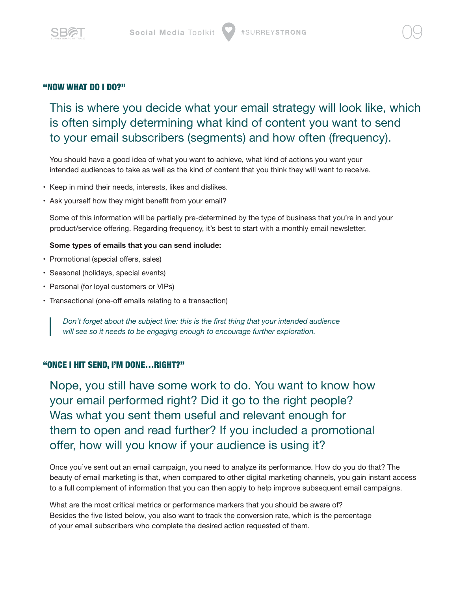<span id="page-10-0"></span>

#### "NOW WHAT DO I DO?"

This is where you decide what your email strategy will look like, which is often simply determining what kind of content you want to send to your email subscribers (segments) and how often (frequency).

You should have a good idea of what you want to achieve, what kind of actions you want your intended audiences to take as well as the kind of content that you think they will want to receive.

- Keep in mind their needs, interests, likes and dislikes.
- Ask yourself how they might benefit from your email?

Some of this information will be partially pre-determined by the type of business that you're in and your product/service offering. Regarding frequency, it's best to start with a monthly email newsletter.

#### **Some types of emails that you can send include:**

- Promotional (special offers, sales)
- Seasonal (holidays, special events)
- Personal (for loyal customers or VIPs)
- Transactional (one-off emails relating to a transaction)

*Don't forget about the subject line: this is the first thing that your intended audience will see so it needs to be engaging enough to encourage further exploration.*

#### "ONCE I HIT SEND, I'M DONE…RIGHT?"

Nope, you still have some work to do. You want to know how your email performed right? Did it go to the right people? Was what you sent them useful and relevant enough for them to open and read further? If you included a promotional offer, how will you know if your audience is using it?

Once you've sent out an email campaign, you need to analyze its performance. How do you do that? The beauty of email marketing is that, when compared to other digital marketing channels, you gain instant access to a full complement of information that you can then apply to help improve subsequent email campaigns.

What are the most critical metrics or performance markers that you should be aware of? Besides the five listed below, you also want to track the conversion rate, which is the percentage of your email subscribers who complete the desired action requested of them.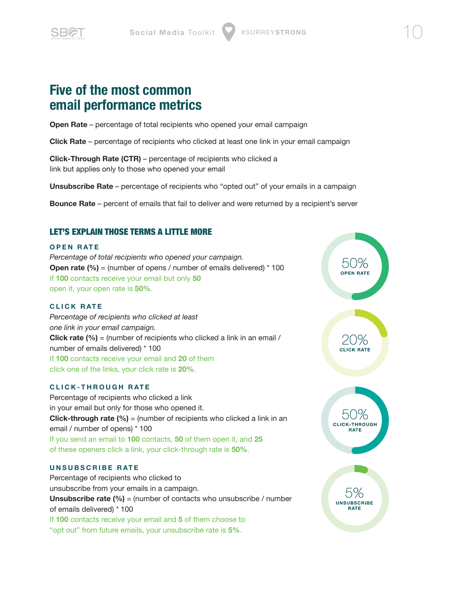<span id="page-11-0"></span>

### **Five of the most common email performance metrics**

**Open Rate** – percentage of total recipients who opened your email campaign

**Click Rate** – percentage of recipients who clicked at least one link in your email campaign

**Click-Through Rate (CTR)** – percentage of recipients who clicked a link but applies only to those who opened your email

**Unsubscribe Rate** – percentage of recipients who "opted out" of your emails in a campaign

**Bounce Rate** – percent of emails that fail to deliver and were returned by a recipient's server

#### LET'S EXPLAIN THOSE TERMS A LITTLE MORE

#### **OPEN RATE**

*Percentage of total recipients who opened your campaign.* **Open rate (%)** = (number of opens / number of emails delivered) \* 100 If **100** contacts receive your email but only **50** open it, your open rate is **50%**.

#### **CLICK RATE**

*Percentage of recipients who clicked at least one link in your email campaign.*  **Click rate (%)** = (number of recipients who clicked a link in an email / number of emails delivered) \* 100 If **100** contacts receive your email and **20** of them click one of the links, your click rate is **20%**.

#### **CLICK-THROUGH RATE**

Percentage of recipients who clicked a link in your email but only for those who opened it. **Click-through rate (%)** = (number of recipients who clicked a link in an email / number of opens) \* 100 If you send an email to **100** contacts, **50** of them open it, and **25** of these openers click a link, your click-through rate is **50%**.

#### **UNSUBSCRIBE RATE**

Percentage of recipients who clicked to unsubscribe from your emails in a campaign. **Unsubscribe rate (%)** = (number of contacts who unsubscribe / number of emails delivered) \* 100 If **100** contacts receive your email and **5** of them choose to "opt out" from future emails, your unsubscribe rate is **5%**.

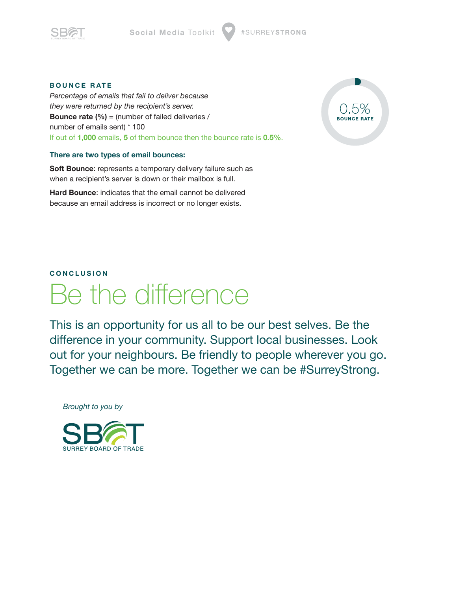<span id="page-12-0"></span>

#### **BOUNCE RATE**

*Percentage of emails that fail to deliver because they were returned by the recipient's server.* **Bounce rate (%)** = (number of failed deliveries / number of emails sent) \* 100 If out of **1,000** emails, **5** of them bounce then the bounce rate is **0.5%**.

#### **There are two types of email bounces:**

**Soft Bounce**: represents a temporary delivery failure such as when a recipient's server is down or their mailbox is full.

**Hard Bounce**: indicates that the email cannot be delivered because an email address is incorrect or no longer exists.



#### **CONCLUSION**

# Be the difference

This is an opportunity for us all to be our best selves. Be the difference in your community. Support local businesses. Look out for your neighbours. Be friendly to people wherever you go. Together we can be more. Together we can be #SurreyStrong.

*Brought to you by*